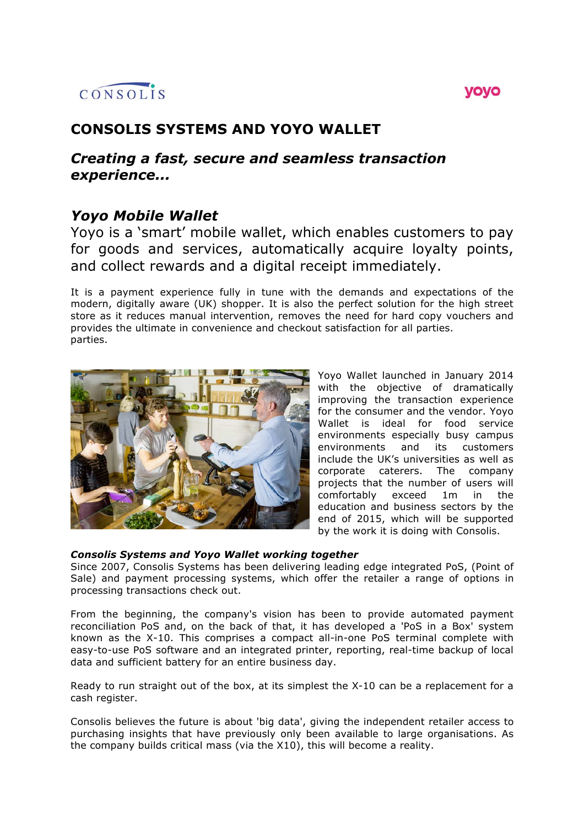# CONSOLIS

# yoyo

# **CONSOLIS SYSTEMS AND YOYO WALLET**

# *Creating a fast, secure and seamless transaction experience...*

# *Yoyo Mobile Wallet*

Yoyo is a 'smart' mobile wallet, which enables customers to pay for goods and services, automatically acquire loyalty points, and collect rewards and a digital receipt immediately.

It is a payment experience fully in tune with the demands and expectations of the modern, digitally aware (UK) shopper. It is also the perfect solution for the high street store as it reduces manual intervention, removes the need for hard copy vouchers and provides the ultimate in convenience and checkout satisfaction for all parties. parties.



Yoyo Wallet launched in January 2014 with the objective of dramatically improving the transaction experience for the consumer and the vendor. Yoyo Wallet is ideal for food service environments especially busy campus<br>environments and its customers environments and its customers include the UK's universities as well as corporate caterers. The company projects that the number of users will comfortably exceed 1m in the education and business sectors by the end of 2015, which will be supported by the work it is doing with Consolis.

### *Consolis Systems and Yoyo Wallet working together*

Since 2007, Consolis Systems has been delivering leading edge integrated PoS, (Point of Sale) and payment processing systems, which offer the retailer a range of options in processing transactions check out.

From the beginning, the company's vision has been to provide automated payment reconciliation PoS and, on the back of that, it has developed a 'PoS in a Box' system known as the X-10. This comprises a compact all-in-one PoS terminal complete with easy-to-use PoS software and an integrated printer, reporting, real-time backup of local data and sufficient battery for an entire business day.

Ready to run straight out of the box, at its simplest the X-10 can be a replacement for a cash register.

Consolis believes the future is about 'big data', giving the independent retailer access to purchasing insights that have previously only been available to large organisations. As the company builds critical mass (via the X10), this will become a reality.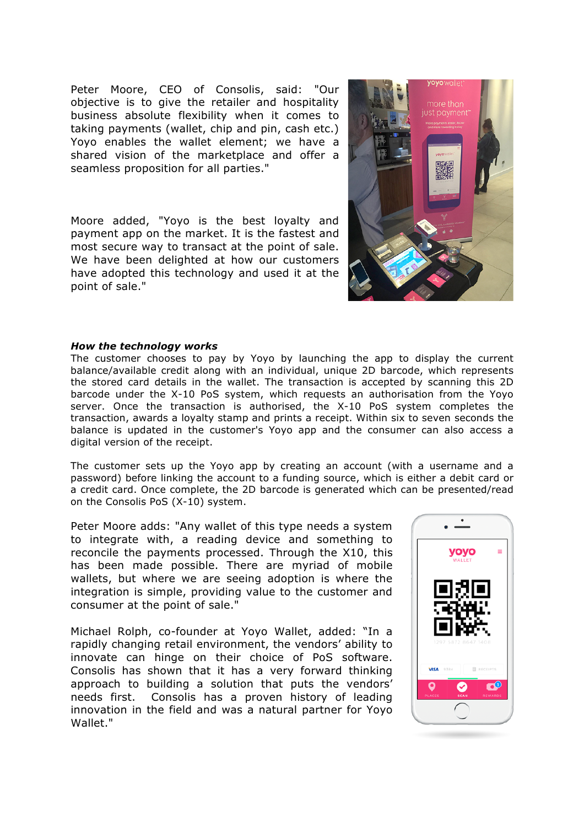Peter Moore, CEO of Consolis, said: "Our objective is to give the retailer and hospitality business absolute flexibility when it comes to taking payments (wallet, chip and pin, cash etc.) Yoyo enables the wallet element; we have a shared vision of the marketplace and offer a seamless proposition for all parties."

Moore added, "Yoyo is the best loyalty and payment app on the market. It is the fastest and most secure way to transact at the point of sale. We have been delighted at how our customers have adopted this technology and used it at the point of sale."



#### *How the technology works*

The customer chooses to pay by Yoyo by launching the app to display the current balance/available credit along with an individual, unique 2D barcode, which represents the stored card details in the wallet. The transaction is accepted by scanning this 2D barcode under the X-10 PoS system, which requests an authorisation from the Yoyo server. Once the transaction is authorised, the X-10 PoS system completes the transaction, awards a loyalty stamp and prints a receipt. Within six to seven seconds the balance is updated in the customer's Yoyo app and the consumer can also access a digital version of the receipt.

The customer sets up the Yoyo app by creating an account (with a username and a password) before linking the account to a funding source, which is either a debit card or a credit card. Once complete, the 2D barcode is generated which can be presented/read on the Consolis PoS (X-10) system.

Peter Moore adds: "Any wallet of this type needs a system to integrate with, a reading device and something to reconcile the payments processed. Through the X10, this has been made possible. There are myriad of mobile wallets, but where we are seeing adoption is where the integration is simple, providing value to the customer and consumer at the point of sale."

Michael Rolph, co-founder at Yoyo Wallet, added: "In a rapidly changing retail environment, the vendors' ability to innovate can hinge on their choice of PoS software. Consolis has shown that it has a very forward thinking approach to building a solution that puts the vendors' needs first. Consolis has a proven history of leading innovation in the field and was a natural partner for Yoyo Wallet."